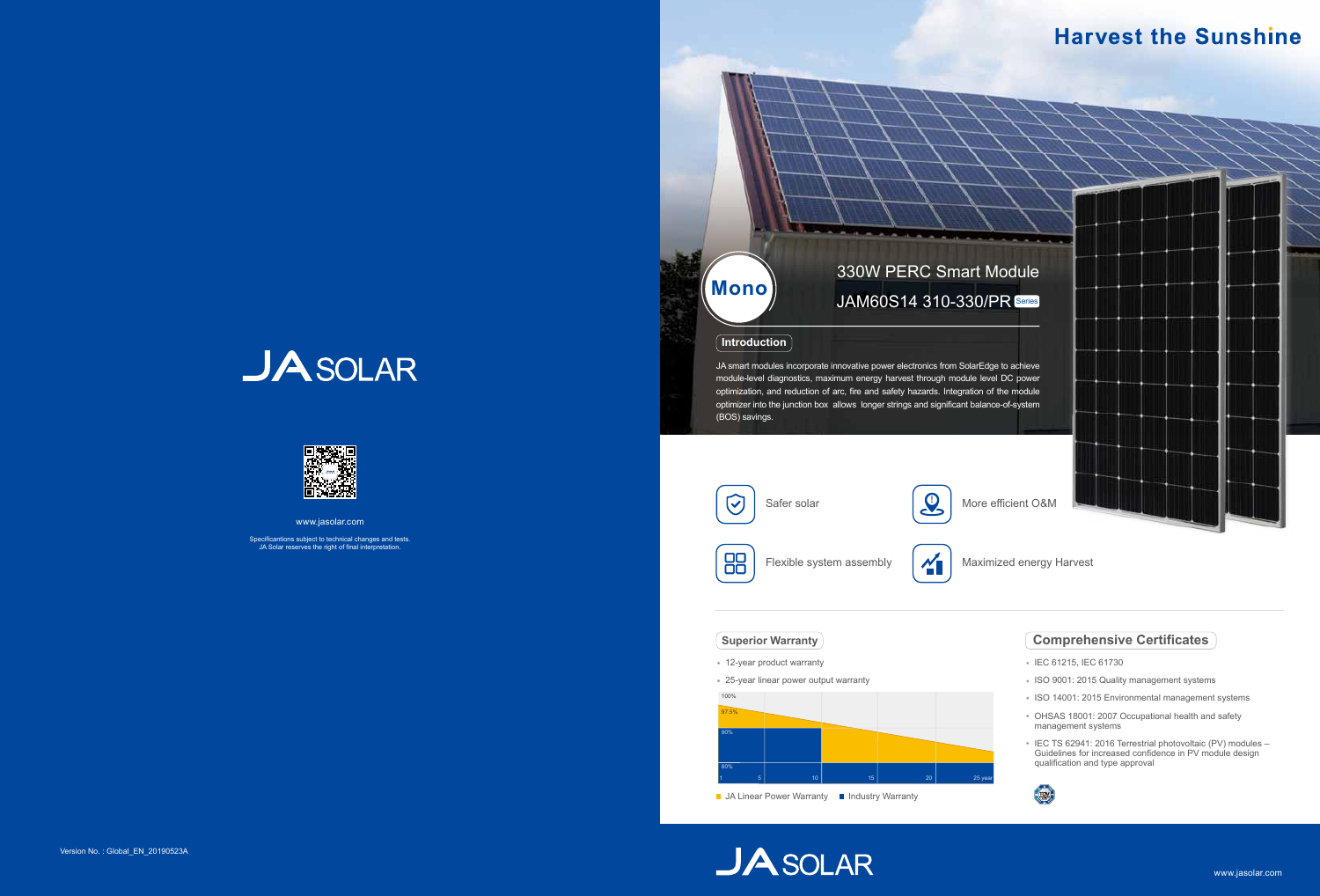JA smart modules incorporate innovative power electronics from SolarEdge module-level diagnostics, maximum energy harvest through module leve optimization, and reduction of arc, fire and safety hazards. Integration of optimizer into the junction box allows longer strings and significant baland (BOS) savings.

- IEC 61215, IEC 61730
- **ISO 9001: 2015 Quality management systems**
- ISO 14001: 2015 Environmental management systems
- OHSAS 18001: 2007 Occupational health and safety management systems
- IEC TS 62941: 2016 Terrestrial photovoltaic (PV) modules Guidelines for increased confidence in PV module design qualification and type approval



# **Comprehensive Certificates**

### **Introduction**



Maximized energy Harvest

- 12-year product warranty
- 25-year linear power output warranty

### **Superior Warranty**



■ JA Linear Power Warranty ■ Industry Warranty

**JASOLAR** 



# **Harvest the Sunshine**

| lodule                                                  |  |  |  |
|---------------------------------------------------------|--|--|--|
| R Series                                                |  |  |  |
|                                                         |  |  |  |
| e to achieve<br>I DC power<br>the module<br>e-of-system |  |  |  |
|                                                         |  |  |  |
| fficient O&M                                            |  |  |  |
|                                                         |  |  |  |

# **JASOLAR**



www.jasolar.com

Specificantions subject to technical changes and tests. JA Solar reserves the right of final interpretation.

# 330W PERC Smart M **Mono** JAM60S14 310-330/P

*CONTRACTOR CONTRACTOR COMPANY*